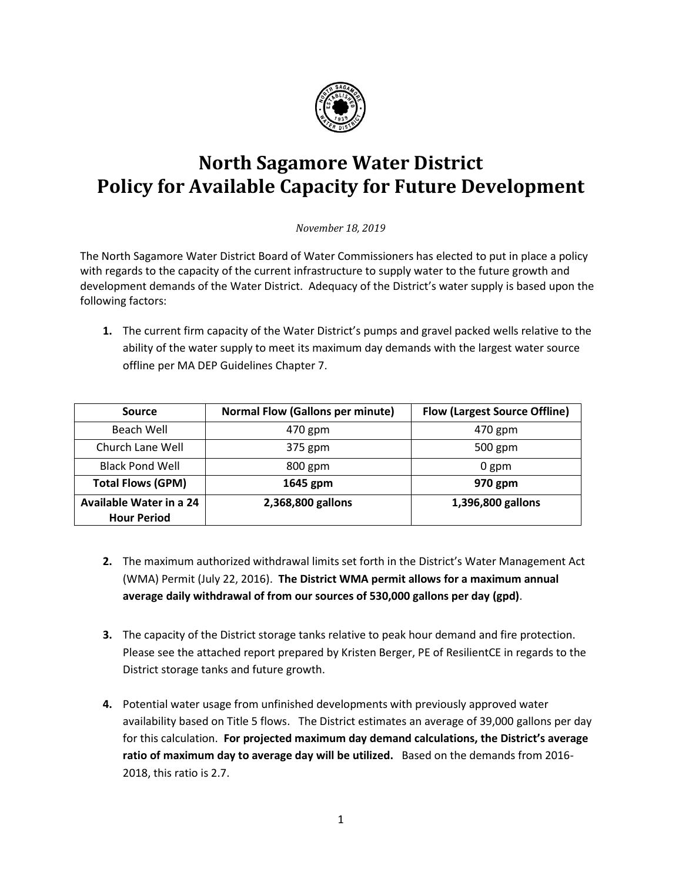

## **North Sagamore Water District Policy for Available Capacity for Future Development**

*November 18, 2019*

The North Sagamore Water District Board of Water Commissioners has elected to put in place a policy with regards to the capacity of the current infrastructure to supply water to the future growth and development demands of the Water District. Adequacy of the District's water supply is based upon the following factors:

**1.** The current firm capacity of the Water District's pumps and gravel packed wells relative to the ability of the water supply to meet its maximum day demands with the largest water source offline per MA DEP Guidelines Chapter 7.

| Source                                               | <b>Normal Flow (Gallons per minute)</b> | <b>Flow (Largest Source Offline)</b> |
|------------------------------------------------------|-----------------------------------------|--------------------------------------|
| Beach Well                                           | 470 gpm                                 | 470 gpm                              |
| Church Lane Well                                     | 375 gpm                                 | 500 gpm                              |
| <b>Black Pond Well</b>                               | 800 gpm                                 | 0 gpm                                |
| <b>Total Flows (GPM)</b>                             | 1645 gpm                                | 970 gpm                              |
| <b>Available Water in a 24</b><br><b>Hour Period</b> | 2,368,800 gallons                       | 1,396,800 gallons                    |

- **2.** The maximum authorized withdrawal limits set forth in the District's Water Management Act (WMA) Permit (July 22, 2016). **The District WMA permit allows for a maximum annual average daily withdrawal of from our sources of 530,000 gallons per day (gpd)**.
- **3.** The capacity of the District storage tanks relative to peak hour demand and fire protection. Please see the attached report prepared by Kristen Berger, PE of ResilientCE in regards to the District storage tanks and future growth.
- **4.** Potential water usage from unfinished developments with previously approved water availability based on Title 5 flows. The District estimates an average of 39,000 gallons per day for this calculation. **For projected maximum day demand calculations, the District's average ratio of maximum day to average day will be utilized.** Based on the demands from 2016- 2018, this ratio is 2.7.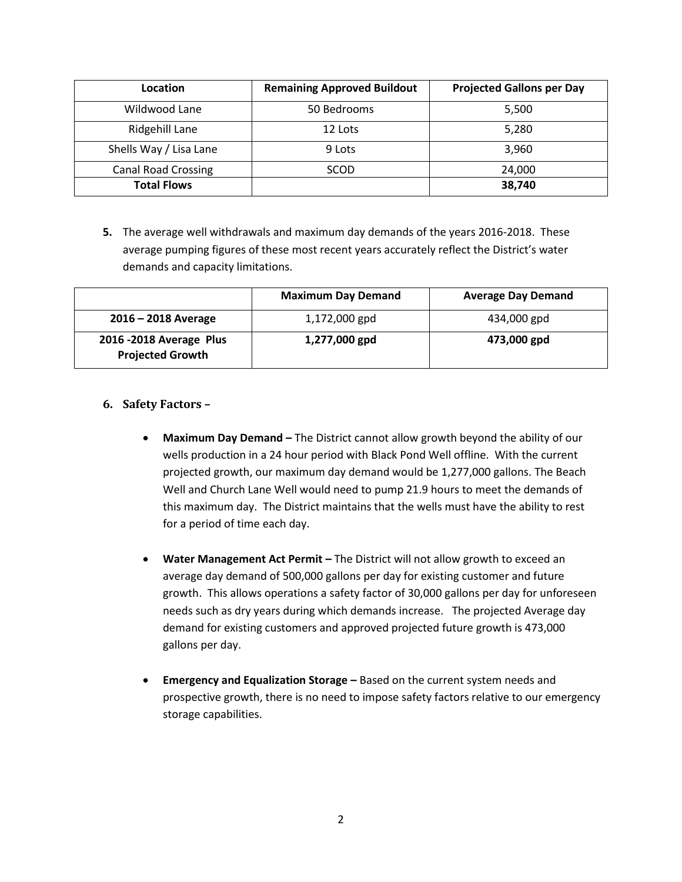| Location                   | <b>Remaining Approved Buildout</b> | <b>Projected Gallons per Day</b> |
|----------------------------|------------------------------------|----------------------------------|
| Wildwood Lane              | 50 Bedrooms                        | 5,500                            |
| Ridgehill Lane             | 12 Lots                            | 5,280                            |
| Shells Way / Lisa Lane     | 9 Lots                             | 3,960                            |
| <b>Canal Road Crossing</b> | SCOD                               | 24,000                           |
| <b>Total Flows</b>         |                                    | 38,740                           |

**5.** The average well withdrawals and maximum day demands of the years 2016-2018. These average pumping figures of these most recent years accurately reflect the District's water demands and capacity limitations.

|                                                     | <b>Maximum Day Demand</b> | <b>Average Day Demand</b> |
|-----------------------------------------------------|---------------------------|---------------------------|
| $2016 - 2018$ Average                               | 1,172,000 gpd             | 434,000 gpd               |
| 2016 - 2018 Average Plus<br><b>Projected Growth</b> | 1,277,000 gpd             | 473,000 gpd               |

#### **6. Safety Factors –**

- **Maximum Day Demand –** The District cannot allow growth beyond the ability of our wells production in a 24 hour period with Black Pond Well offline. With the current projected growth, our maximum day demand would be 1,277,000 gallons. The Beach Well and Church Lane Well would need to pump 21.9 hours to meet the demands of this maximum day. The District maintains that the wells must have the ability to rest for a period of time each day.
- **Water Management Act Permit –** The District will not allow growth to exceed an average day demand of 500,000 gallons per day for existing customer and future growth. This allows operations a safety factor of 30,000 gallons per day for unforeseen needs such as dry years during which demands increase. The projected Average day demand for existing customers and approved projected future growth is 473,000 gallons per day.
- **Emergency and Equalization Storage –** Based on the current system needs and prospective growth, there is no need to impose safety factors relative to our emergency storage capabilities.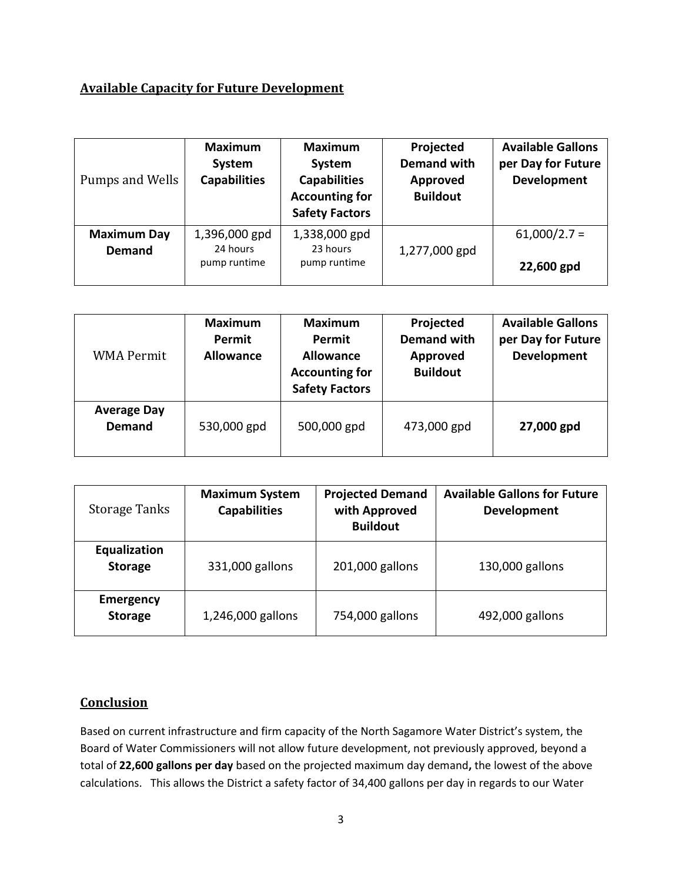### **Available Capacity for Future Development**

| Pumps and Wells                     | <b>Maximum</b><br>System<br><b>Capabilities</b> | <b>Maximum</b><br>System<br><b>Capabilities</b><br><b>Accounting for</b><br><b>Safety Factors</b> | Projected<br><b>Demand with</b><br>Approved<br><b>Buildout</b> | <b>Available Gallons</b><br>per Day for Future<br><b>Development</b> |
|-------------------------------------|-------------------------------------------------|---------------------------------------------------------------------------------------------------|----------------------------------------------------------------|----------------------------------------------------------------------|
| <b>Maximum Day</b><br><b>Demand</b> | 1,396,000 gpd<br>24 hours                       | 1,338,000 gpd<br>23 hours                                                                         | 1,277,000 gpd                                                  | $61,000/2.7 =$                                                       |
|                                     | pump runtime                                    | pump runtime                                                                                      |                                                                | 22,600 gpd                                                           |

| <b>WMA Permit</b>                   | <b>Maximum</b><br>Permit<br><b>Allowance</b> | <b>Maximum</b><br>Permit<br><b>Allowance</b><br><b>Accounting for</b><br><b>Safety Factors</b> | Projected<br><b>Demand with</b><br><b>Approved</b><br><b>Buildout</b> | <b>Available Gallons</b><br>per Day for Future<br>Development |
|-------------------------------------|----------------------------------------------|------------------------------------------------------------------------------------------------|-----------------------------------------------------------------------|---------------------------------------------------------------|
| <b>Average Day</b><br><b>Demand</b> | 530,000 gpd                                  | 500,000 gpd                                                                                    | 473,000 gpd                                                           | 27,000 gpd                                                    |

| <b>Storage Tanks</b>               | <b>Maximum System</b><br><b>Capabilities</b> | <b>Projected Demand</b><br>with Approved<br><b>Buildout</b> | <b>Available Gallons for Future</b><br>Development |
|------------------------------------|----------------------------------------------|-------------------------------------------------------------|----------------------------------------------------|
| Equalization<br><b>Storage</b>     | 331,000 gallons                              | 201,000 gallons                                             | 130,000 gallons                                    |
| <b>Emergency</b><br><b>Storage</b> | 1,246,000 gallons                            | 754,000 gallons                                             | 492,000 gallons                                    |

### **Conclusion**

Based on current infrastructure and firm capacity of the North Sagamore Water District's system, the Board of Water Commissioners will not allow future development, not previously approved, beyond a total of **22,600 gallons per day** based on the projected maximum day demand**,** the lowest of the above calculations. This allows the District a safety factor of 34,400 gallons per day in regards to our Water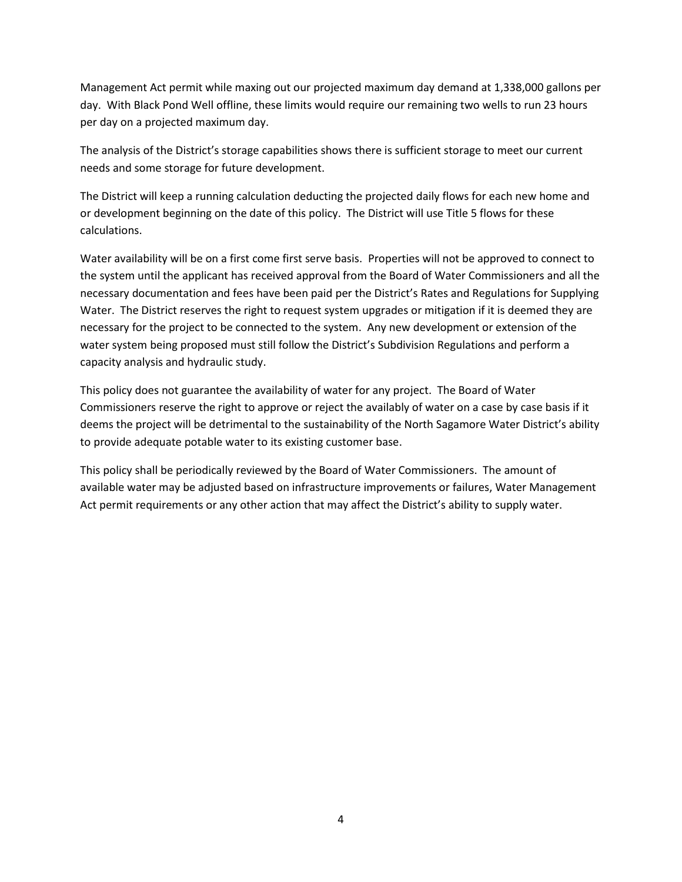Management Act permit while maxing out our projected maximum day demand at 1,338,000 gallons per day. With Black Pond Well offline, these limits would require our remaining two wells to run 23 hours per day on a projected maximum day.

The analysis of the District's storage capabilities shows there is sufficient storage to meet our current needs and some storage for future development.

The District will keep a running calculation deducting the projected daily flows for each new home and or development beginning on the date of this policy. The District will use Title 5 flows for these calculations.

Water availability will be on a first come first serve basis. Properties will not be approved to connect to the system until the applicant has received approval from the Board of Water Commissioners and all the necessary documentation and fees have been paid per the District's Rates and Regulations for Supplying Water. The District reserves the right to request system upgrades or mitigation if it is deemed they are necessary for the project to be connected to the system. Any new development or extension of the water system being proposed must still follow the District's Subdivision Regulations and perform a capacity analysis and hydraulic study.

This policy does not guarantee the availability of water for any project. The Board of Water Commissioners reserve the right to approve or reject the availably of water on a case by case basis if it deems the project will be detrimental to the sustainability of the North Sagamore Water District's ability to provide adequate potable water to its existing customer base.

This policy shall be periodically reviewed by the Board of Water Commissioners. The amount of available water may be adjusted based on infrastructure improvements or failures, Water Management Act permit requirements or any other action that may affect the District's ability to supply water.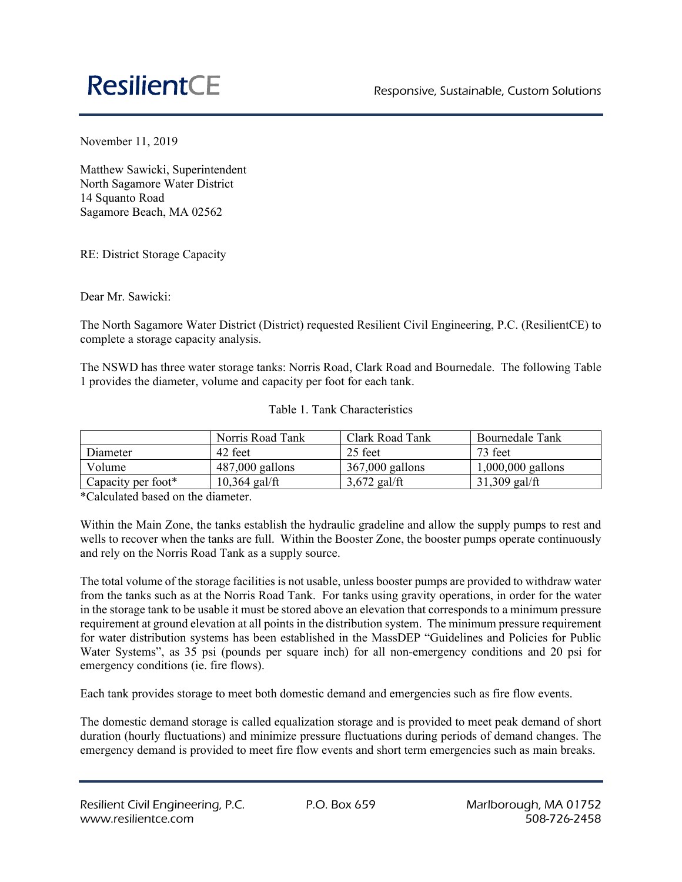# **ResilientCE**

November 11, 2019

Matthew Sawicki, Superintendent North Sagamore Water District 14 Squanto Road Sagamore Beach, MA 02562

RE: District Storage Capacity

Dear Mr. Sawicki:

The North Sagamore Water District (District) requested Resilient Civil Engineering, P.C. (ResilientCE) to complete a storage capacity analysis.

The NSWD has three water storage tanks: Norris Road, Clark Road and Bournedale. The following Table 1 provides the diameter, volume and capacity per foot for each tank.

|          | Norris Road Tank | Clark Road Tank | <b>Bournedale Tank</b> |
|----------|------------------|-----------------|------------------------|
| Diameter | 42 feet          | 25 feet         | $73$ feet              |

Volume 1487,000 gallons 367,000 gallons 1,000,000 gallons Capacity per foot\* 10,364 gal/ft  $3,672$  gal/ft  $\qquad$  31,309 gal/ft

Table 1. Tank Characteristics

\*Calculated based on the diameter.

Within the Main Zone, the tanks establish the hydraulic gradeline and allow the supply pumps to rest and wells to recover when the tanks are full. Within the Booster Zone, the booster pumps operate continuously and rely on the Norris Road Tank as a supply source.

The total volume of the storage facilities is not usable, unless booster pumps are provided to withdraw water from the tanks such as at the Norris Road Tank. For tanks using gravity operations, in order for the water in the storage tank to be usable it must be stored above an elevation that corresponds to a minimum pressure requirement at ground elevation at all points in the distribution system. The minimum pressure requirement for water distribution systems has been established in the MassDEP "Guidelines and Policies for Public Water Systems", as 35 psi (pounds per square inch) for all non-emergency conditions and 20 psi for emergency conditions (ie. fire flows).

Each tank provides storage to meet both domestic demand and emergencies such as fire flow events.

The domestic demand storage is called equalization storage and is provided to meet peak demand of short duration (hourly fluctuations) and minimize pressure fluctuations during periods of demand changes. The emergency demand is provided to meet fire flow events and short term emergencies such as main breaks.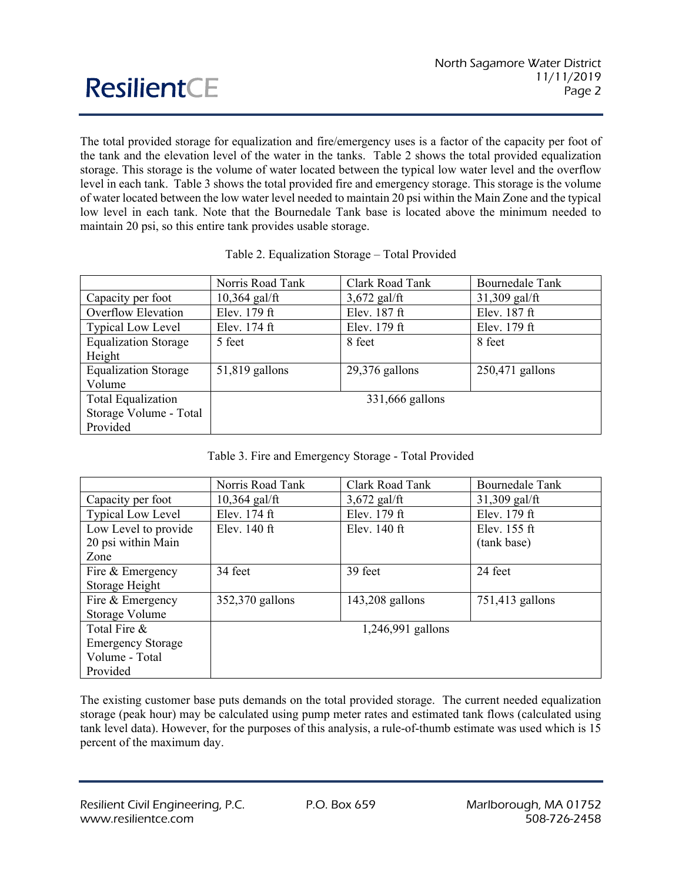The total provided storage for equalization and fire/emergency uses is a factor of the capacity per foot of the tank and the elevation level of the water in the tanks. Table 2 shows the total provided equalization storage. This storage is the volume of water located between the typical low water level and the overflow level in each tank. Table 3 shows the total provided fire and emergency storage. This storage is the volume of water located between the low water level needed to maintain 20 psi within the Main Zone and the typical low level in each tank. Note that the Bournedale Tank base is located above the minimum needed to maintain 20 psi, so this entire tank provides usable storage.

|                             | Norris Road Tank | Clark Road Tank  | <b>Bournedale Tank</b> |  |
|-----------------------------|------------------|------------------|------------------------|--|
| Capacity per foot           | $10,364$ gal/ft  | $3,672$ gal/ft   | $31,309$ gal/ft        |  |
| Overflow Elevation          | Elev. 179 ft     | Elev. 187 ft     | Elev. 187 ft           |  |
| <b>Typical Low Level</b>    | Elev. 174 ft     | Elev. 179 ft     | Elev. 179 ft           |  |
| <b>Equalization Storage</b> | 5 feet           | 8 feet           | 8 feet                 |  |
| Height                      |                  |                  |                        |  |
| <b>Equalization Storage</b> | $51,819$ gallons | $29,376$ gallons | $250,471$ gallons      |  |
| Volume                      |                  |                  |                        |  |
| Total Equalization          | 331,666 gallons  |                  |                        |  |
| Storage Volume - Total      |                  |                  |                        |  |
| Provided                    |                  |                  |                        |  |

| Table 2. Equalization Storage - Total Provided |  |  |
|------------------------------------------------|--|--|
|                                                |  |  |

|  |  | Table 3. Fire and Emergency Storage - Total Provided |  |  |  |
|--|--|------------------------------------------------------|--|--|--|
|--|--|------------------------------------------------------|--|--|--|

|                          | Norris Road Tank | Clark Road Tank   | <b>Bournedale Tank</b> |
|--------------------------|------------------|-------------------|------------------------|
| Capacity per foot        | $10,364$ gal/ft  | $3,672$ gal/ft    | $31,309$ gal/ft        |
| <b>Typical Low Level</b> | Elev. 174 ft     | Elev. 179 ft      | Elev. 179 ft           |
| Low Level to provide     | Elev. $140$ ft   | Elev. $140$ ft    | Elev. $155$ ft         |
| 20 psi within Main       |                  |                   | (tank base)            |
| Zone                     |                  |                   |                        |
| Fire & Emergency         | 34 feet          | 39 feet           | 24 feet                |
| Storage Height           |                  |                   |                        |
| Fire & Emergency         | 352,370 gallons  | $143,208$ gallons | 751,413 gallons        |
| Storage Volume           |                  |                   |                        |
| Total Fire &             |                  | 1,246,991 gallons |                        |
| <b>Emergency Storage</b> |                  |                   |                        |
| Volume - Total           |                  |                   |                        |
| Provided                 |                  |                   |                        |

The existing customer base puts demands on the total provided storage. The current needed equalization storage (peak hour) may be calculated using pump meter rates and estimated tank flows (calculated using tank level data). However, for the purposes of this analysis, a rule-of-thumb estimate was used which is 15 percent of the maximum day.

**ResilientCE**